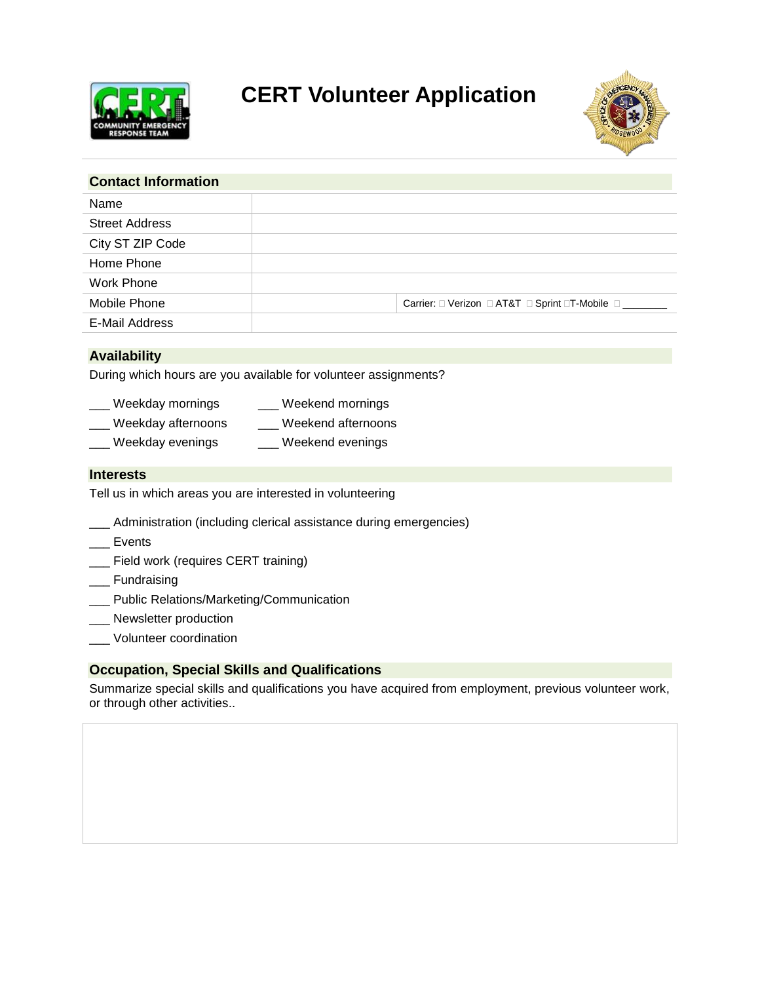

# **CERT Volunteer Application**



| <b>Contact Information</b> |                                                |
|----------------------------|------------------------------------------------|
| Name                       |                                                |
| <b>Street Address</b>      |                                                |
| City ST ZIP Code           |                                                |
| Home Phone                 |                                                |
| Work Phone                 |                                                |
| Mobile Phone               | Carrier: □ Verizon □ AT&T □ Sprint □T-Mobile □ |
| E-Mail Address             |                                                |

## **Availability**

During which hours are you available for volunteer assignments?

- \_\_\_ Weekday mornings \_\_\_ Weekend mornings
	- \_\_\_ Weekday afternoons \_\_\_ Weekend afternoons
- \_\_ Weekday evenings \_\_\_ \_\_\_ Weekend evenings

#### **Interests**

Tell us in which areas you are interested in volunteering

- \_\_\_ Administration (including clerical assistance during emergencies)
- \_\_\_ Events
- \_\_\_ Field work (requires CERT training)
- \_\_\_ Fundraising
- \_\_\_ Public Relations/Marketing/Communication
- \_\_\_ Newsletter production
- \_\_\_ Volunteer coordination

### **Occupation, Special Skills and Qualifications**

Summarize special skills and qualifications you have acquired from employment, previous volunteer work, or through other activities..